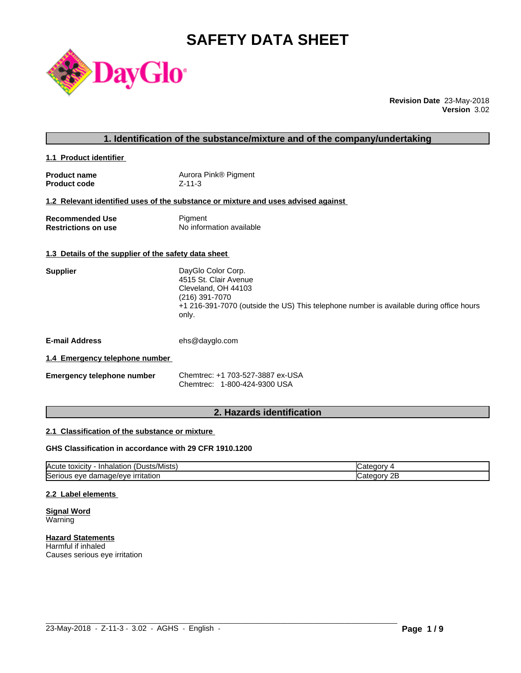# **SAFETY DATA SHEET**



**Revision Date** 23-May-2018 **Version** 3.02

**1.1 Product identifier** 

| <b>Product name</b> | Aurora Pink® Pigment |
|---------------------|----------------------|
| <b>Product code</b> | Z-11-3               |

# **1.2 Relevant identified uses of the substance or mixture and uses advised against**

| <b>Recommended Use</b>     | Pigment                  |
|----------------------------|--------------------------|
| <b>Restrictions on use</b> | No information available |

## **1.3 Details of the supplier of the safety data sheet**

| DayGlo Color Corp.                                                                               |
|--------------------------------------------------------------------------------------------------|
| 4515 St. Clair Avenue                                                                            |
| Cleveland, OH 44103                                                                              |
| (216) 391-7070                                                                                   |
| +1 216-391-7070 (outside the US) This telephone number is available during office hours<br>only. |
|                                                                                                  |
|                                                                                                  |

**E-mail Address** ehs@dayglo.com

# **1.4 Emergency telephone number**

| <b>Emergency telephone number</b> | Chemtrec: +1 703-527-3887 ex-USA |
|-----------------------------------|----------------------------------|
|                                   | Chemtrec: 1-800-424-9300 USA     |

# **2. Hazards identification**

# **2.1 Classification of the substance or mixture**

# **GHS Classification in accordance with 29 CFR 1910.1200**

| $\mathbf{r}$<br>Acute<br>.Dusts/Mists) .<br>· Inhalation<br>, toxicity     | עזרור                   |
|----------------------------------------------------------------------------|-------------------------|
| ∽<br>.nage/eve<br>irritation<br><b>ISeric</b><br>11 I C<br>eve<br>aar<br>. | റ⊏<br>עזנונו<br>45<br>. |

 $\_$  ,  $\_$  ,  $\_$  ,  $\_$  ,  $\_$  ,  $\_$  ,  $\_$  ,  $\_$  ,  $\_$  ,  $\_$  ,  $\_$  ,  $\_$  ,  $\_$  ,  $\_$  ,  $\_$  ,  $\_$  ,  $\_$  ,  $\_$  ,  $\_$  ,  $\_$  ,  $\_$  ,  $\_$  ,  $\_$  ,  $\_$  ,  $\_$  ,  $\_$  ,  $\_$  ,  $\_$  ,  $\_$  ,  $\_$  ,  $\_$  ,  $\_$  ,  $\_$  ,  $\_$  ,  $\_$  ,  $\_$  ,  $\_$  ,

#### **2.2 Label elements**

**Signal Word Warning** 

**Hazard Statements** Harmful if inhaled Causes serious eye irritation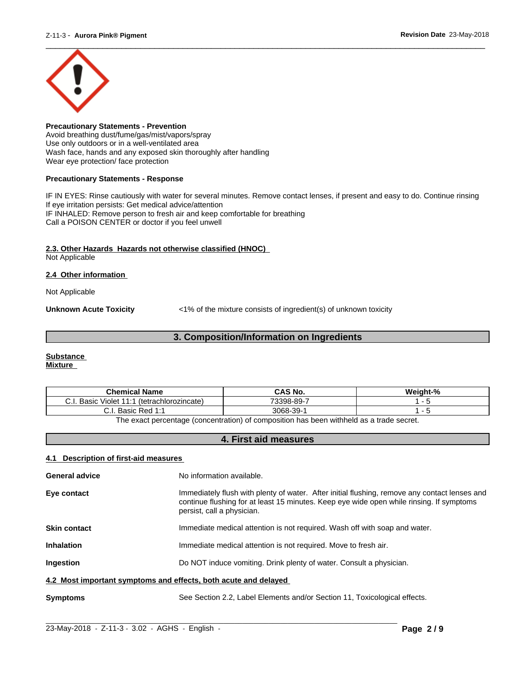

**Precautionary Statements - Prevention** Avoid breathing dust/fume/gas/mist/vapors/spray Use only outdoors or in a well-ventilated area Wash face, hands and any exposed skin thoroughly after handling Wear eye protection/ face protection

#### **Precautionary Statements - Response**

IF IN EYES: Rinse cautiously with water for several minutes. Remove contact lenses, if present and easy to do. Continue rinsing If eye irritation persists: Get medical advice/attention IF INHALED: Remove person to fresh air and keep comfortable for breathing Call a POISON CENTER or doctor if you feel unwell

# **2.3. Other Hazards Hazards not otherwise classified (HNOC)**

Not Applicable

# **2.4 Other information**

Not Applicable

**Unknown Acute Toxicity**  $\langle 1\%$  of the mixture consists of ingredient(s) of unknown toxicity

# **3. Composition/Information on Ingredients**

#### **Substance Mixture**

| <b>Chemical Name</b>                                    | <b>CAS No.</b> | Weight-% |  |
|---------------------------------------------------------|----------------|----------|--|
| Basic<br>44.4<br>(tetrachlorozincate)<br>Violet<br>◡.୲. | 73398-89-.     |          |  |
| Basic Red 1:1<br>◡.୲.                                   | 3068-39-       |          |  |
|                                                         |                |          |  |

The exact percentage (concentration) of composition has been withheld as a trade secret.

# **4. First aid measures**

# **4.1 Description of first-aid measures**

| <b>General advice</b>                                           | No information available.                                                                                                                                                                                               |  |
|-----------------------------------------------------------------|-------------------------------------------------------------------------------------------------------------------------------------------------------------------------------------------------------------------------|--|
| Eye contact                                                     | Immediately flush with plenty of water. After initial flushing, remove any contact lenses and<br>continue flushing for at least 15 minutes. Keep eye wide open while rinsing. If symptoms<br>persist, call a physician. |  |
| <b>Skin contact</b>                                             | Immediate medical attention is not required. Wash off with soap and water.                                                                                                                                              |  |
| <b>Inhalation</b>                                               | Immediate medical attention is not required. Move to fresh air.                                                                                                                                                         |  |
| <b>Ingestion</b>                                                | Do NOT induce vomiting. Drink plenty of water. Consult a physician.                                                                                                                                                     |  |
| 4.2 Most important symptoms and effects, both acute and delayed |                                                                                                                                                                                                                         |  |
| <b>Symptoms</b>                                                 | See Section 2.2, Label Elements and/or Section 11, Toxicological effects.                                                                                                                                               |  |

 $\_$  ,  $\_$  ,  $\_$  ,  $\_$  ,  $\_$  ,  $\_$  ,  $\_$  ,  $\_$  ,  $\_$  ,  $\_$  ,  $\_$  ,  $\_$  ,  $\_$  ,  $\_$  ,  $\_$  ,  $\_$  ,  $\_$  ,  $\_$  ,  $\_$  ,  $\_$  ,  $\_$  ,  $\_$  ,  $\_$  ,  $\_$  ,  $\_$  ,  $\_$  ,  $\_$  ,  $\_$  ,  $\_$  ,  $\_$  ,  $\_$  ,  $\_$  ,  $\_$  ,  $\_$  ,  $\_$  ,  $\_$  ,  $\_$  ,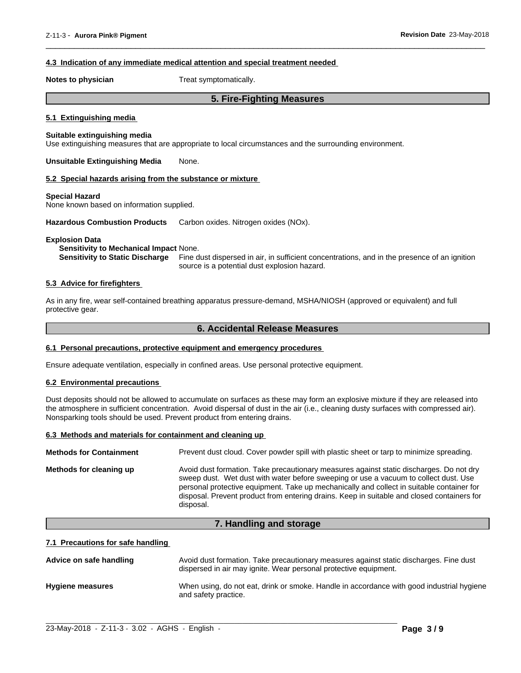## **4.3 Indication of any immediate medical attention and special treatment needed**

**Notes to physician** Treat symptomatically.

# **5. Fire-Fighting Measures**

 $\overline{\phantom{a}}$  ,  $\overline{\phantom{a}}$  ,  $\overline{\phantom{a}}$  ,  $\overline{\phantom{a}}$  ,  $\overline{\phantom{a}}$  ,  $\overline{\phantom{a}}$  ,  $\overline{\phantom{a}}$  ,  $\overline{\phantom{a}}$  ,  $\overline{\phantom{a}}$  ,  $\overline{\phantom{a}}$  ,  $\overline{\phantom{a}}$  ,  $\overline{\phantom{a}}$  ,  $\overline{\phantom{a}}$  ,  $\overline{\phantom{a}}$  ,  $\overline{\phantom{a}}$  ,  $\overline{\phantom{a}}$ 

#### **5.1 Extinguishing media**

# **Suitable extinguishing media**

Use extinguishing measures that are appropriate to local circumstances and the surrounding environment.

**Unsuitable Extinguishing Media** None.

#### **5.2 Special hazards arising from the substance or mixture**

#### **Special Hazard**

None known based on information supplied.

**Hazardous Combustion Products** Carbon oxides. Nitrogen oxides (NOx).

#### **Explosion Data**

**Sensitivity to Mechanical Impact** None.

**Sensitivity to Static Discharge** Fine dust dispersed in air, in sufficient concentrations, and in the presence of an ignition source is a potential dust explosion hazard.

# **5.3 Advice for firefighters**

As in any fire, wear self-contained breathing apparatus pressure-demand, MSHA/NIOSH (approved or equivalent) and full protective gear.

# **6. Accidental Release Measures**

#### **6.1 Personal precautions, protective equipment and emergency procedures**

Ensure adequate ventilation, especially in confined areas. Use personal protective equipment.

# **6.2 Environmental precautions**

Dust deposits should not be allowed to accumulate on surfaces as these may form an explosive mixture if they are released into the atmosphere in sufficient concentration. Avoid dispersal of dust in the air (i.e., cleaning dusty surfaces with compressed air). Nonsparking tools should be used. Prevent product from entering drains.

# **6.3 Methods and materials for containment and cleaning up**

| <b>Methods for Containment</b> | Prevent dust cloud. Cover powder spill with plastic sheet or tarp to minimize spreading.                                                                                                                                                                                                                                                                                                |
|--------------------------------|-----------------------------------------------------------------------------------------------------------------------------------------------------------------------------------------------------------------------------------------------------------------------------------------------------------------------------------------------------------------------------------------|
| Methods for cleaning up        | Avoid dust formation. Take precautionary measures against static discharges. Do not dry<br>sweep dust. Wet dust with water before sweeping or use a vacuum to collect dust. Use<br>personal protective equipment. Take up mechanically and collect in suitable container for<br>disposal. Prevent product from entering drains. Keep in suitable and closed containers for<br>disposal. |

# **7. Handling and storage**

#### **7.1 Precautions for safe handling**

| Advice on safe handling | Avoid dust formation. Take precautionary measures against static discharges. Fine dust<br>dispersed in air may ignite. Wear personal protective equipment. |
|-------------------------|------------------------------------------------------------------------------------------------------------------------------------------------------------|
| <b>Hygiene measures</b> | When using, do not eat, drink or smoke. Handle in accordance with good industrial hygiene<br>and safety practice.                                          |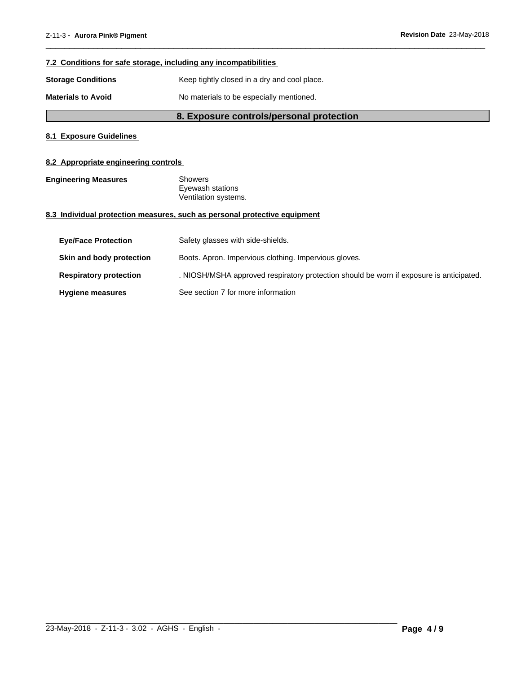# **7.2 Conditions for safe storage, including any incompatibilities**

**Storage Conditions** Keep tightly closed in a dry and cool place.

**Materials to Avoid** No materials to be especially mentioned.

# **8. Exposure controls/personal protection**

 $\overline{\phantom{a}}$  ,  $\overline{\phantom{a}}$  ,  $\overline{\phantom{a}}$  ,  $\overline{\phantom{a}}$  ,  $\overline{\phantom{a}}$  ,  $\overline{\phantom{a}}$  ,  $\overline{\phantom{a}}$  ,  $\overline{\phantom{a}}$  ,  $\overline{\phantom{a}}$  ,  $\overline{\phantom{a}}$  ,  $\overline{\phantom{a}}$  ,  $\overline{\phantom{a}}$  ,  $\overline{\phantom{a}}$  ,  $\overline{\phantom{a}}$  ,  $\overline{\phantom{a}}$  ,  $\overline{\phantom{a}}$ 

# **8.1 Exposure Guidelines**

# **8.2 Appropriate engineering controls**

**Engineering Measures** Showers

Eyewash stations Ventilation systems.

# **8.3 Individual protection measures, such as personal protective equipment**

| <b>Eye/Face Protection</b>    | Safety glasses with side-shields.                                                       |
|-------------------------------|-----------------------------------------------------------------------------------------|
| Skin and body protection      | Boots. Apron. Impervious clothing. Impervious gloves.                                   |
| <b>Respiratory protection</b> | . NIOSH/MSHA approved respiratory protection should be worn if exposure is anticipated. |
| <b>Hygiene measures</b>       | See section 7 for more information                                                      |

 $\_$  ,  $\_$  ,  $\_$  ,  $\_$  ,  $\_$  ,  $\_$  ,  $\_$  ,  $\_$  ,  $\_$  ,  $\_$  ,  $\_$  ,  $\_$  ,  $\_$  ,  $\_$  ,  $\_$  ,  $\_$  ,  $\_$  ,  $\_$  ,  $\_$  ,  $\_$  ,  $\_$  ,  $\_$  ,  $\_$  ,  $\_$  ,  $\_$  ,  $\_$  ,  $\_$  ,  $\_$  ,  $\_$  ,  $\_$  ,  $\_$  ,  $\_$  ,  $\_$  ,  $\_$  ,  $\_$  ,  $\_$  ,  $\_$  ,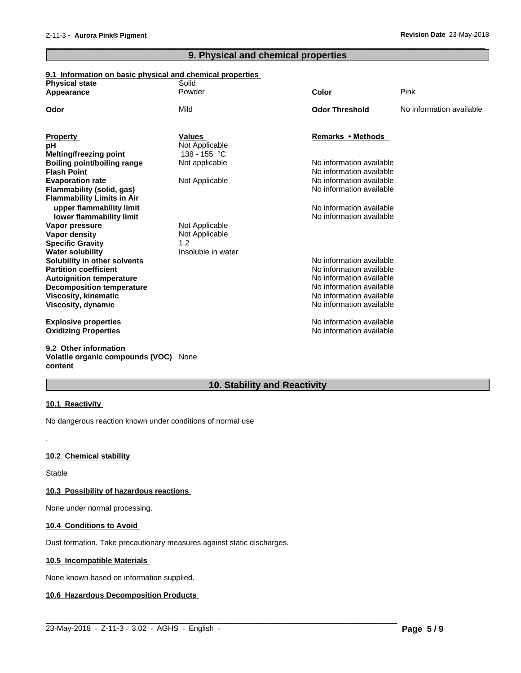# **9. Physical and chemical properties**

 $\overline{\phantom{a}}$  ,  $\overline{\phantom{a}}$  ,  $\overline{\phantom{a}}$  ,  $\overline{\phantom{a}}$  ,  $\overline{\phantom{a}}$  ,  $\overline{\phantom{a}}$  ,  $\overline{\phantom{a}}$  ,  $\overline{\phantom{a}}$  ,  $\overline{\phantom{a}}$  ,  $\overline{\phantom{a}}$  ,  $\overline{\phantom{a}}$  ,  $\overline{\phantom{a}}$  ,  $\overline{\phantom{a}}$  ,  $\overline{\phantom{a}}$  ,  $\overline{\phantom{a}}$  ,  $\overline{\phantom{a}}$ 

# **9.1 Information on basic physical and chemical properties**

| <b>Physical state</b>             | Solid              |                                                      |                          |
|-----------------------------------|--------------------|------------------------------------------------------|--------------------------|
| Appearance                        | Powder             | Color                                                | Pink                     |
| Odor                              | Mild               | <b>Odor Threshold</b>                                | No information available |
| <b>Property</b>                   | <b>Values</b>      | Remarks • Methods                                    |                          |
| рH                                | Not Applicable     |                                                      |                          |
| Melting/freezing point            | 138 - 155 °C       |                                                      |                          |
| Boiling point/boiling range       | Not applicable     | No information available                             |                          |
| <b>Flash Point</b>                |                    | No information available                             |                          |
| <b>Evaporation rate</b>           | Not Applicable     | No information available                             |                          |
| <b>Flammability (solid, gas)</b>  |                    | No information available                             |                          |
| <b>Flammability Limits in Air</b> |                    |                                                      |                          |
| upper flammability limit          |                    | No information available                             |                          |
| lower flammability limit          |                    | No information available                             |                          |
| Vapor pressure                    | Not Applicable     |                                                      |                          |
| Vapor density                     | Not Applicable     |                                                      |                          |
| <b>Specific Gravity</b>           | 1.2                |                                                      |                          |
| <b>Water solubility</b>           | Insoluble in water |                                                      |                          |
| Solubility in other solvents      |                    | No information available                             |                          |
| <b>Partition coefficient</b>      |                    | No information available                             |                          |
| <b>Autoignition temperature</b>   |                    | No information available                             |                          |
| <b>Decomposition temperature</b>  |                    | No information available<br>No information available |                          |
| Viscosity, kinematic              |                    | No information available                             |                          |
| Viscosity, dynamic                |                    |                                                      |                          |
| <b>Explosive properties</b>       |                    | No information available                             |                          |
| <b>Oxidizing Properties</b>       |                    | No information available                             |                          |
| 0.2. Other information            |                    |                                                      |                          |

#### **9.2 Other information Volatile organic compounds (VOC)** None **content**

# **10. Stability and Reactivity**

 $\_$  ,  $\_$  ,  $\_$  ,  $\_$  ,  $\_$  ,  $\_$  ,  $\_$  ,  $\_$  ,  $\_$  ,  $\_$  ,  $\_$  ,  $\_$  ,  $\_$  ,  $\_$  ,  $\_$  ,  $\_$  ,  $\_$  ,  $\_$  ,  $\_$  ,  $\_$  ,  $\_$  ,  $\_$  ,  $\_$  ,  $\_$  ,  $\_$  ,  $\_$  ,  $\_$  ,  $\_$  ,  $\_$  ,  $\_$  ,  $\_$  ,  $\_$  ,  $\_$  ,  $\_$  ,  $\_$  ,  $\_$  ,  $\_$  ,

# **10.1 Reactivity**

No dangerous reaction known under conditions of normal use

# **10.2 Chemical stability**

Stable

.

# **10.3 Possibility of hazardous reactions**

None under normal processing.

# **10.4 Conditions to Avoid**

Dust formation. Take precautionary measures against static discharges.

# **10.5 Incompatible Materials**

None known based on information supplied.

# **10.6 Hazardous Decomposition Products**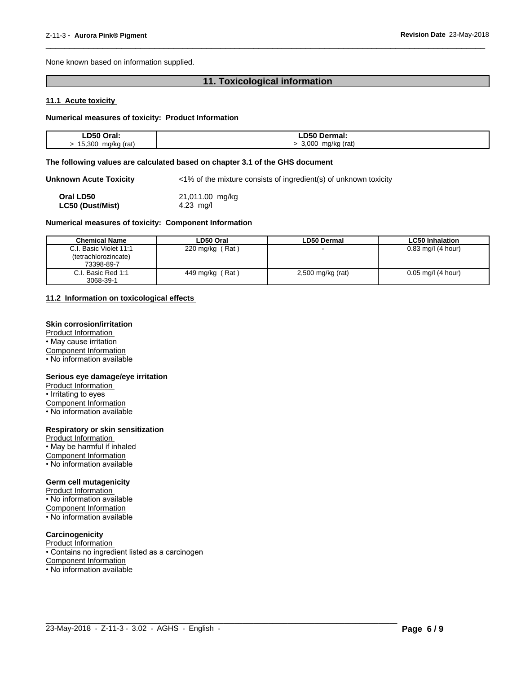None known based on information supplied.

# **11. Toxicological information**

 $\overline{\phantom{a}}$  ,  $\overline{\phantom{a}}$  ,  $\overline{\phantom{a}}$  ,  $\overline{\phantom{a}}$  ,  $\overline{\phantom{a}}$  ,  $\overline{\phantom{a}}$  ,  $\overline{\phantom{a}}$  ,  $\overline{\phantom{a}}$  ,  $\overline{\phantom{a}}$  ,  $\overline{\phantom{a}}$  ,  $\overline{\phantom{a}}$  ,  $\overline{\phantom{a}}$  ,  $\overline{\phantom{a}}$  ,  $\overline{\phantom{a}}$  ,  $\overline{\phantom{a}}$  ,  $\overline{\phantom{a}}$ 

# **11.1 Acute toxicity**

# **Numerical measures of toxicity: Product Information**

| LD50 Oral:            | <b>_D50 Dermal:</b>  |
|-----------------------|----------------------|
| 15,300<br>mg/kg (rat) | 3,000<br>mg/kg (rat) |

#### **The following values are calculated based on chapter 3.1 of the GHS document**

**Unknown Acute Toxicity** <1% of the mixture consists of ingredient(s) of unknown toxicity

| Oral LD50        | 21,011.00 mg/kg |
|------------------|-----------------|
| LC50 (Dust/Mist) | 4.23 $mq/l$     |

#### **Numerical measures of toxicity: Component Information**

| <b>Chemical Name</b>   | LD50 Oral                    | <b>LD50 Dermal</b> | <b>LC50 Inhalation</b> |
|------------------------|------------------------------|--------------------|------------------------|
| C.I. Basic Violet 11:1 | (Rat)<br>$220 \text{ mg/kg}$ |                    | $0.83$ mg/l (4 hour)   |
| (tetrachlorozincate)   |                              |                    |                        |
| 73398-89-7             |                              |                    |                        |
| C.I. Basic Red 1:1     | (Rat)<br>449 mg/kg           | 2,500 mg/kg (rat)  | $0.05$ mg/l (4 hour)   |
| 3068-39-1              |                              |                    |                        |

#### **11.2 Information on toxicologicaleffects**

# **Skin corrosion/irritation**

Product Information

• May cause irritation Component Information

• No information available

#### **Serious eye damage/eye irritation**

Product Information

• Irritating to eyes

Component Information

• No information available

# **Respiratory or skin sensitization**

Product Information • May be harmful if inhaled Component Information • No information available

### **Germ cell mutagenicity**

Product Information • No information available Component Information  $\cdot$  No information available

# **Carcinogenicity**

Product Information

• Contains no ingredient listed as a carcinogen

Component Information

• No information available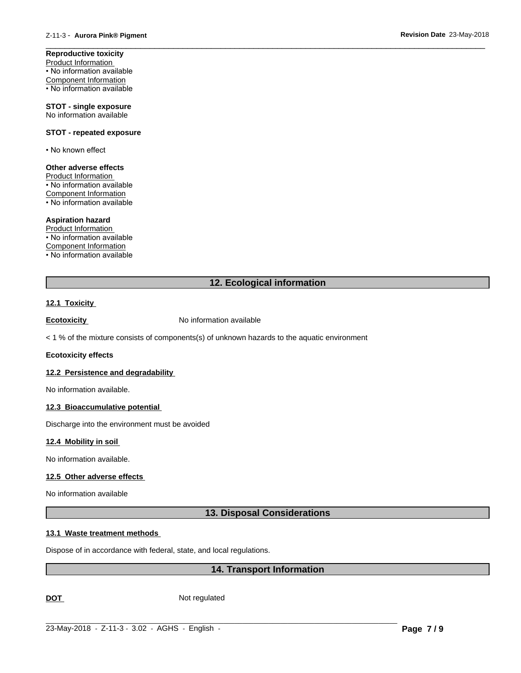**Reproductive toxicity** Product Information • No information available Component Information • No information available

**STOT - single exposure** No information available

#### **STOT - repeated exposure**

• No known effect

# **Other adverse effects**

Product Information • No information available Component Information • No information available

#### **Aspiration hazard**

Product Information • No information available Component Information • No information available

# **12. Ecological information**

 $\overline{\phantom{a}}$  ,  $\overline{\phantom{a}}$  ,  $\overline{\phantom{a}}$  ,  $\overline{\phantom{a}}$  ,  $\overline{\phantom{a}}$  ,  $\overline{\phantom{a}}$  ,  $\overline{\phantom{a}}$  ,  $\overline{\phantom{a}}$  ,  $\overline{\phantom{a}}$  ,  $\overline{\phantom{a}}$  ,  $\overline{\phantom{a}}$  ,  $\overline{\phantom{a}}$  ,  $\overline{\phantom{a}}$  ,  $\overline{\phantom{a}}$  ,  $\overline{\phantom{a}}$  ,  $\overline{\phantom{a}}$ 

### **12.1 Toxicity**

**Ecotoxicity No information available** 

 $<$  1 % of the mixture consists of components(s) of unknown hazards to the aquatic environment

# **Ecotoxicity effects**

#### **12.2 Persistence and degradability**

No information available.

### **12.3 Bioaccumulative potential**

Discharge into the environment must be avoided

#### **12.4 Mobility in soil**

No information available.

# **12.5 Other adverse effects**

No information available

# **13. Disposal Considerations**

#### **13.1 Waste treatment methods**

Dispose of in accordance with federal, state, and local regulations.

# **14. Transport Information**

 $\_$  ,  $\_$  ,  $\_$  ,  $\_$  ,  $\_$  ,  $\_$  ,  $\_$  ,  $\_$  ,  $\_$  ,  $\_$  ,  $\_$  ,  $\_$  ,  $\_$  ,  $\_$  ,  $\_$  ,  $\_$  ,  $\_$  ,  $\_$  ,  $\_$  ,  $\_$  ,  $\_$  ,  $\_$  ,  $\_$  ,  $\_$  ,  $\_$  ,  $\_$  ,  $\_$  ,  $\_$  ,  $\_$  ,  $\_$  ,  $\_$  ,  $\_$  ,  $\_$  ,  $\_$  ,  $\_$  ,  $\_$  ,  $\_$  ,

DOT Not regulated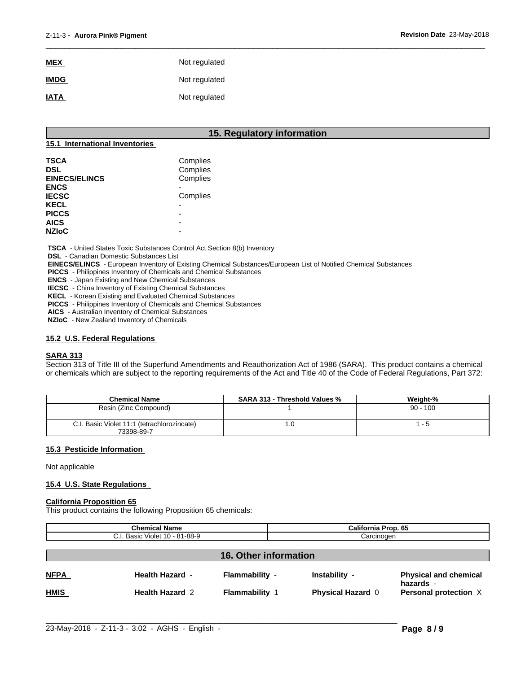| <b>MEX</b>  | Not regulated |
|-------------|---------------|
| <b>IMDG</b> | Not regulated |
| <b>IATA</b> | Not regulated |

# **15. Regulatory information**

 $\overline{\phantom{a}}$  ,  $\overline{\phantom{a}}$  ,  $\overline{\phantom{a}}$  ,  $\overline{\phantom{a}}$  ,  $\overline{\phantom{a}}$  ,  $\overline{\phantom{a}}$  ,  $\overline{\phantom{a}}$  ,  $\overline{\phantom{a}}$  ,  $\overline{\phantom{a}}$  ,  $\overline{\phantom{a}}$  ,  $\overline{\phantom{a}}$  ,  $\overline{\phantom{a}}$  ,  $\overline{\phantom{a}}$  ,  $\overline{\phantom{a}}$  ,  $\overline{\phantom{a}}$  ,  $\overline{\phantom{a}}$ 

# **15.1 International Inventories**

| <b>TSCA</b>          | Complies |  |
|----------------------|----------|--|
| <b>DSL</b>           | Complies |  |
| <b>EINECS/ELINCS</b> | Complies |  |
| <b>ENCS</b>          |          |  |
| <b>IECSC</b>         | Complies |  |
| <b>KECL</b>          |          |  |
| <b>PICCS</b>         |          |  |
| <b>AICS</b>          | -        |  |
| <b>NZIoC</b>         |          |  |

 **TSCA** - United States Toxic Substances Control Act Section 8(b) Inventory

 **DSL** - Canadian Domestic Substances List

 **EINECS/ELINCS** - European Inventory of Existing Chemical Substances/European List of Notified Chemical Substances

 **PICCS** - Philippines Inventory of Chemicals and Chemical Substances

 **ENCS** - Japan Existing and New Chemical Substances

 **IECSC** - China Inventory of Existing Chemical Substances

 **KECL** - Korean Existing and Evaluated Chemical Substances

 **PICCS** - Philippines Inventory of Chemicals and Chemical Substances

 **AICS** - Australian Inventory of Chemical Substances

 **NZIoC** - New Zealand Inventory of Chemicals

# **15.2 U.S. Federal Regulations**

# **SARA 313**

Section 313 of Title III of the Superfund Amendments and Reauthorization Act of 1986 (SARA). This product contains a chemical or chemicals which are subject to the reporting requirements of the Act and Title 40 of the Code of Federal Regulations, Part 372:

| <b>Chemical Name</b>                                      | <b>SARA 313 - Threshold Values %</b> | Weight-%   |
|-----------------------------------------------------------|--------------------------------------|------------|
| Resin (Zinc Compound)                                     |                                      | $90 - 100$ |
| C.I. Basic Violet 11:1 (tetrachlorozincate)<br>73398-89-7 | l J                                  | - 5        |

# **15.3 Pesticide Information**

Not applicable

# **15.4 U.S. State Regulations**

#### **California Proposition 65**

This product contains the following Proposition 65 chemicals:

| <b>Chemical Name</b>           |                        |                       | California Prop. 65      |                                           |
|--------------------------------|------------------------|-----------------------|--------------------------|-------------------------------------------|
| C.I. Basic Violet 10 - 81-88-9 |                        |                       | Carcinogen               |                                           |
| <b>16. Other information</b>   |                        |                       |                          |                                           |
| <b>NFPA</b>                    | <b>Health Hazard -</b> | Flammability -        | Instability -            | <b>Physical and chemical</b><br>hazards - |
| <b>HMIS</b>                    | <b>Health Hazard 2</b> | <b>Flammability 1</b> | <b>Physical Hazard 0</b> | Personal protection X                     |

 $\_$  ,  $\_$  ,  $\_$  ,  $\_$  ,  $\_$  ,  $\_$  ,  $\_$  ,  $\_$  ,  $\_$  ,  $\_$  ,  $\_$  ,  $\_$  ,  $\_$  ,  $\_$  ,  $\_$  ,  $\_$  ,  $\_$  ,  $\_$  ,  $\_$  ,  $\_$  ,  $\_$  ,  $\_$  ,  $\_$  ,  $\_$  ,  $\_$  ,  $\_$  ,  $\_$  ,  $\_$  ,  $\_$  ,  $\_$  ,  $\_$  ,  $\_$  ,  $\_$  ,  $\_$  ,  $\_$  ,  $\_$  ,  $\_$  ,